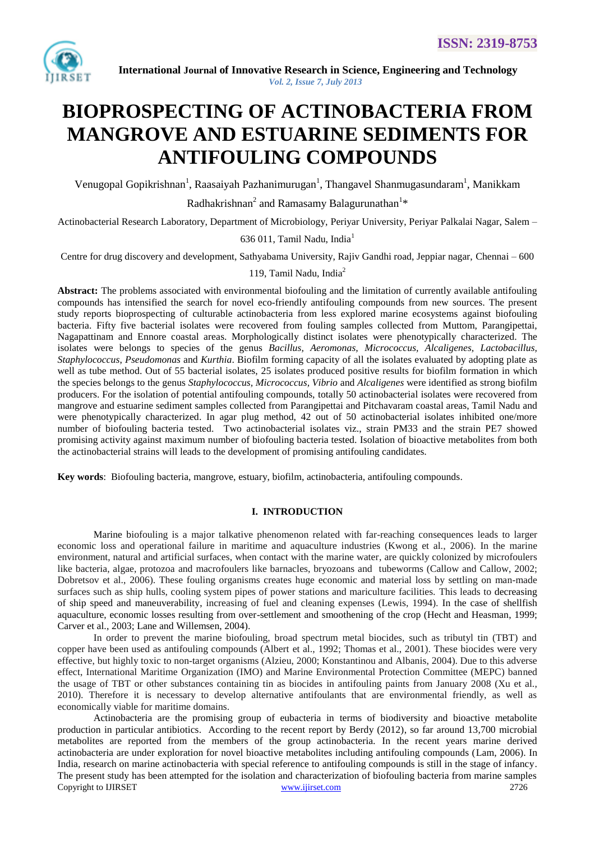

# **BIOPROSPECTING OF ACTINOBACTERIA FROM MANGROVE AND ESTUARINE SEDIMENTS FOR ANTIFOULING COMPOUNDS**

Venugopal Gopikrishnan<sup>1</sup>, Raasaiyah Pazhanimurugan<sup>1</sup>, Thangavel Shanmugasundaram<sup>1</sup>, Manikkam

Radhakrishnan<sup>2</sup> and Ramasamy Balagurunathan<sup>1</sup>\*

Actinobacterial Research Laboratory, Department of Microbiology, Periyar University, Periyar Palkalai Nagar, Salem –

## 636 011, Tamil Nadu, India<sup>1</sup>

Centre for drug discovery and development, Sathyabama University, Rajiv Gandhi road, Jeppiar nagar, Chennai – 600

#### 119, Tamil Nadu, India<sup>2</sup>

**Abstract:** The problems associated with environmental biofouling and the limitation of currently available antifouling compounds has intensified the search for novel eco-friendly antifouling compounds from new sources. The present study reports bioprospecting of culturable actinobacteria from less explored marine ecosystems against biofouling bacteria. Fifty five bacterial isolates were recovered from fouling samples collected from Muttom, Parangipettai, Nagapattinam and Ennore coastal areas. Morphologically distinct isolates were phenotypically characterized. The isolates were belongs to species of the genus *Bacillus, Aeromonas, Micrococcus, Alcaligenes, Lactobacillus, Staphylococcus*, *Pseudomonas* and *Kurthia*. Biofilm forming capacity of all the isolates evaluated by adopting plate as well as tube method. Out of 55 bacterial isolates, 25 isolates produced positive results for biofilm formation in which the species belongs to the genus *Staphylococcus, Micrococcus, Vibrio* and *Alcaligenes* were identified as strong biofilm producers. For the isolation of potential antifouling compounds, totally 50 actinobacterial isolates were recovered from mangrove and estuarine sediment samples collected from Parangipettai and Pitchavaram coastal areas, Tamil Nadu and were phenotypically characterized. In agar plug method, 42 out of 50 actinobacterial isolates inhibited one/more number of biofouling bacteria tested. Two actinobacterial isolates viz., strain PM33 and the strain PE7 showed promising activity against maximum number of biofouling bacteria tested. Isolation of bioactive metabolites from both the actinobacterial strains will leads to the development of promising antifouling candidates.

**Key words**: Biofouling bacteria, mangrove, estuary, biofilm, actinobacteria, antifouling compounds.

#### **I. INTRODUCTION**

Marine biofouling is a major talkative phenomenon related with far-reaching consequences leads to larger economic loss and operational failure in maritime and aquaculture industries (Kwong et al., 2006). In the marine environment, natural and artificial surfaces, when contact with the marine water, are quickly colonized by microfoulers like bacteria, algae, protozoa and macrofoulers like barnacles, bryozoans and tubeworms (Callow and Callow, 2002; Dobretsov et al., 2006). These fouling organisms creates huge economic and material loss by settling on man-made surfaces such as ship hulls, cooling system pipes of power stations and mariculture facilities. This leads to decreasing of ship speed and maneuverability, increasing of fuel and cleaning expenses (Lewis, 1994). In the case of shellfish aquaculture, economic losses resulting from over-settlement and smoothening of the crop (Hecht and Heasman, 1999; Carver et al., 2003; Lane and Willemsen, 2004).

In order to prevent the marine biofouling, broad spectrum metal biocides, such as tributyl tin (TBT) and copper have been used as antifouling compounds (Albert et al., 1992; Thomas et al., 2001). These biocides were very effective, but highly toxic to non-target organisms (Alzieu, 2000; Konstantinou and Albanis, 2004). Due to this adverse effect, International Maritime Organization (IMO) and Marine Environmental Protection Committee (MEPC) banned the usage of TBT or other substances containing tin as biocides in antifouling paints from January 2008 (Xu et al., 2010). Therefore it is necessary to develop alternative antifoulants that are environmental friendly, as well as economically viable for maritime domains.

Copyright to IJIRSET [www.ijirset.com](http://www.ijirset.com/) 2726 Actinobacteria are the promising group of eubacteria in terms of biodiversity and bioactive metabolite production in particular antibiotics. According to the recent report by Berdy (2012), so far around 13,700 microbial metabolites are reported from the members of the group actinobacteria. In the recent years marine derived actinobacteria are under exploration for novel bioactive metabolites including antifouling compounds (Lam, 2006). In India, research on marine actinobacteria with special reference to antifouling compounds is still in the stage of infancy. The present study has been attempted for the isolation and characterization of biofouling bacteria from marine samples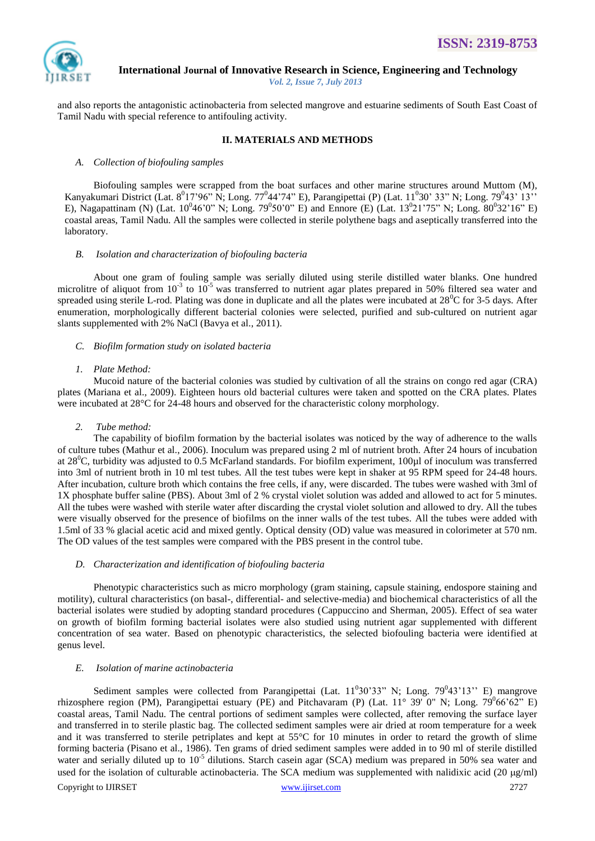

and also reports the antagonistic actinobacteria from selected mangrove and estuarine sediments of South East Coast of Tamil Nadu with special reference to antifouling activity.

## **II. MATERIALS AND METHODS**

#### *A. Collection of biofouling samples*

Biofouling samples were scrapped from the boat surfaces and other marine structures around Muttom (M), Kanyakumari District (Lat.  $8^017^096$ " N; Long. 77<sup>0</sup>44'74" E), Parangipettai (P) (Lat.  $11^030'$  33" N; Long. 79<sup>0</sup>43' 13" E), Nagapattinam (N) (Lat.  $10^046'0''$  N; Long.  $79^050'0''$  E) and Ennore (E) (Lat.  $13^021'75''$  N; Long.  $80^032'16''$  E) coastal areas, Tamil Nadu. All the samples were collected in sterile polythene bags and aseptically transferred into the laboratory.

#### *B. Isolation and characterization of biofouling bacteria*

About one gram of fouling sample was serially diluted using sterile distilled water blanks. One hundred microlitre of aliquot from  $10^{-3}$  to  $10^{-5}$  was transferred to nutrient agar plates prepared in 50% filtered sea water and spreaded using sterile L-rod. Plating was done in duplicate and all the plates were incubated at  $28^{\circ}$ C for 3-5 days. After enumeration, morphologically different bacterial colonies were selected, purified and sub-cultured on nutrient agar slants supplemented with 2% NaCl (Bavya et al., 2011).

## *C. Biofilm formation study on isolated bacteria*

#### *1. Plate Method:*

Mucoid nature of the bacterial colonies was studied by cultivation of all the strains on congo red agar (CRA) plates (Mariana et al., 2009). Eighteen hours old bacterial cultures were taken and spotted on the CRA plates. Plates were incubated at 28<sup>o</sup>C for 24-48 hours and observed for the characteristic colony morphology.

#### *2. Tube method:*

The capability of biofilm formation by the bacterial isolates was noticed by the way of adherence to the walls of culture tubes (Mathur et al., 2006). Inoculum was prepared using 2 ml of nutrient broth. After 24 hours of incubation at  $28^{\circ}$ C, turbidity was adjusted to 0.5 McFarland standards. For biofilm experiment, 100 $\mu$ l of inoculum was transferred into 3ml of nutrient broth in 10 ml test tubes. All the test tubes were kept in shaker at 95 RPM speed for 24-48 hours. After incubation, culture broth which contains the free cells, if any, were discarded. The tubes were washed with 3ml of 1X phosphate buffer saline (PBS). About 3ml of 2 % crystal violet solution was added and allowed to act for 5 minutes. All the tubes were washed with sterile water after discarding the crystal violet solution and allowed to dry. All the tubes were visually observed for the presence of biofilms on the inner walls of the test tubes. All the tubes were added with 1.5ml of 33 % glacial acetic acid and mixed gently. Optical density (OD) value was measured in colorimeter at 570 nm. The OD values of the test samples were compared with the PBS present in the control tube.

#### *D. Characterization and identification of biofouling bacteria*

Phenotypic characteristics such as micro morphology (gram staining, capsule staining, endospore staining and motility), cultural characteristics (on basal-, differential- and selective-media) and biochemical characteristics of all the bacterial isolates were studied by adopting standard procedures (Cappuccino and Sherman, 2005). Effect of sea water on growth of biofilm forming bacterial isolates were also studied using nutrient agar supplemented with different concentration of sea water. Based on phenotypic characteristics, the selected biofouling bacteria were identified at genus level.

#### *E. Isolation of marine actinobacteria*

Copyright to IJIRSET [www.ijirset.com](http://www.ijirset.com/) 2727 Sediment samples were collected from Parangipettai (Lat.  $11^030'33''$  N; Long.  $79^043'13''$  E) mangrove rhizosphere region (PM), Parangipettai estuary (PE) and Pitchavaram (P) (Lat. 11° 39' 0" N; Long. 79<sup>0</sup>66'62" E) coastal areas, Tamil Nadu. The central portions of sediment samples were collected, after removing the surface layer and transferred in to sterile plastic bag. The collected sediment samples were air dried at room temperature for a week and it was transferred to sterile petriplates and kept at 55°C for 10 minutes in order to retard the growth of slime forming bacteria (Pisano et al., 1986). Ten grams of dried sediment samples were added in to 90 ml of sterile distilled water and serially diluted up to  $10^{-5}$  dilutions. Starch casein agar (SCA) medium was prepared in 50% sea water and used for the isolation of culturable actinobacteria. The SCA medium was supplemented with nalidixic acid (20  $\mu$ g/ml)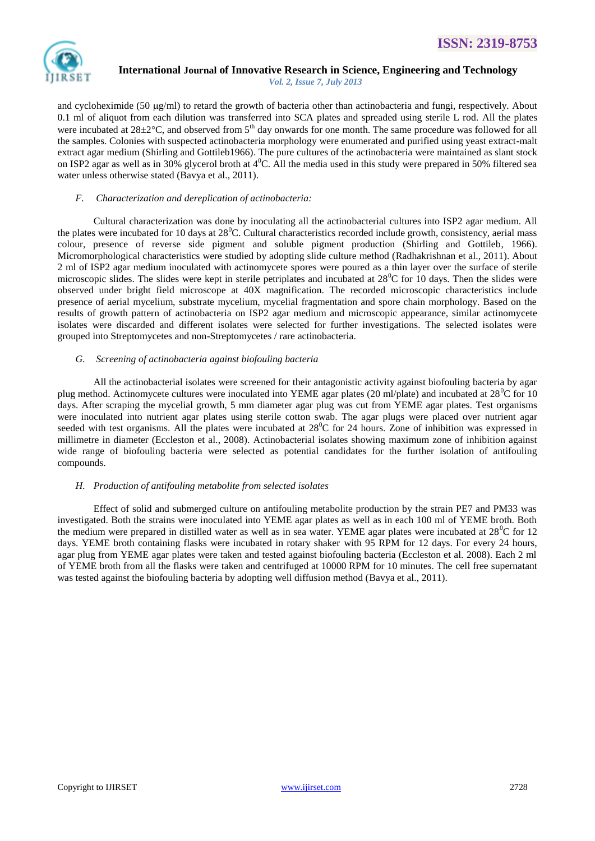

and cycloheximide (50  $\mu$ g/ml) to retard the growth of bacteria other than actinobacteria and fungi, respectively. About 0.1 ml of aliquot from each dilution was transferred into SCA plates and spreaded using sterile L rod. All the plates were incubated at 28±2°C, and observed from 5<sup>th</sup> day onwards for one month. The same procedure was followed for all the samples. Colonies with suspected actinobacteria morphology were enumerated and purified using yeast extract-malt extract agar medium (Shirling and Gottileb1966). The pure cultures of the actinobacteria were maintained as slant stock on ISP2 agar as well as in 30% glycerol broth at  $4^{\circ}$ C. All the media used in this study were prepared in 50% filtered sea water unless otherwise stated (Bavya et al., 2011).

#### *F. Characterization and dereplication of actinobacteria:*

Cultural characterization was done by inoculating all the actinobacterial cultures into ISP2 agar medium. All the plates were incubated for 10 days at  $28^{\circ}$ C. Cultural characteristics recorded include growth, consistency, aerial mass colour, presence of reverse side pigment and soluble pigment production (Shirling and Gottileb, 1966). Micromorphological characteristics were studied by adopting slide culture method (Radhakrishnan et al., 2011). About 2 ml of ISP2 agar medium inoculated with actinomycete spores were poured as a thin layer over the surface of sterile microscopic slides. The slides were kept in sterile petriplates and incubated at  $28^{\circ}$ C for 10 days. Then the slides were observed under bright field microscope at 40X magnification. The recorded microscopic characteristics include presence of aerial mycelium, substrate mycelium, mycelial fragmentation and spore chain morphology. Based on the results of growth pattern of actinobacteria on ISP2 agar medium and microscopic appearance, similar actinomycete isolates were discarded and different isolates were selected for further investigations. The selected isolates were grouped into Streptomycetes and non-Streptomycetes / rare actinobacteria.

#### *G. Screening of actinobacteria against biofouling bacteria*

All the actinobacterial isolates were screened for their antagonistic activity against biofouling bacteria by agar plug method. Actinomycete cultures were inoculated into YEME agar plates (20 ml/plate) and incubated at  $28^{\circ}$ C for 10 days. After scraping the mycelial growth, 5 mm diameter agar plug was cut from YEME agar plates. Test organisms were inoculated into nutrient agar plates using sterile cotton swab. The agar plugs were placed over nutrient agar seeded with test organisms. All the plates were incubated at  $28^{\circ}$ C for 24 hours. Zone of inhibition was expressed in millimetre in diameter (Eccleston et al., 2008). Actinobacterial isolates showing maximum zone of inhibition against wide range of biofouling bacteria were selected as potential candidates for the further isolation of antifouling compounds.

#### *H. Production of antifouling metabolite from selected isolates*

Effect of solid and submerged culture on antifouling metabolite production by the strain PE7 and PM33 was investigated. Both the strains were inoculated into YEME agar plates as well as in each 100 ml of YEME broth. Both the medium were prepared in distilled water as well as in sea water. YEME agar plates were incubated at  $28^{\circ}$ C for 12 days. YEME broth containing flasks were incubated in rotary shaker with 95 RPM for 12 days. For every 24 hours, agar plug from YEME agar plates were taken and tested against biofouling bacteria (Eccleston et al. 2008). Each 2 ml of YEME broth from all the flasks were taken and centrifuged at 10000 RPM for 10 minutes. The cell free supernatant was tested against the biofouling bacteria by adopting well diffusion method (Bavya et al., 2011).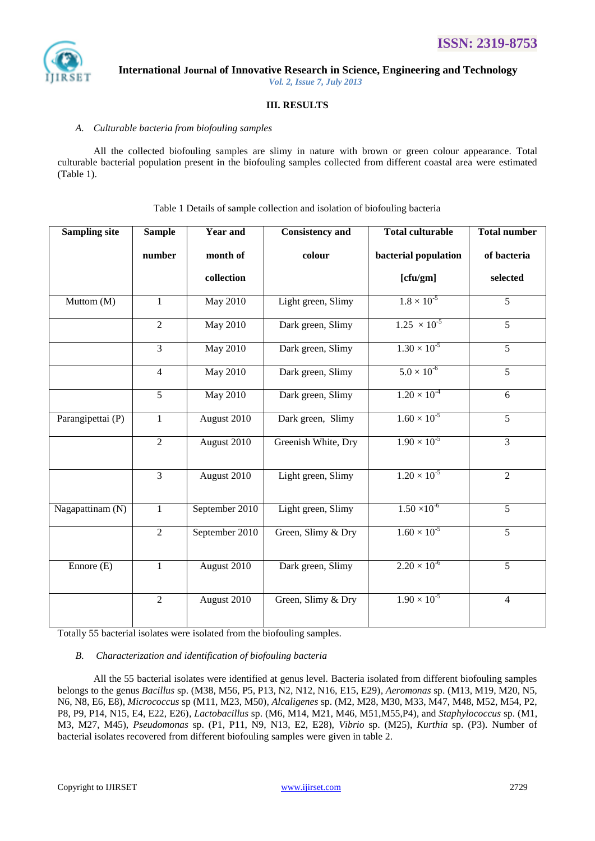

## **III. RESULTS**

#### *A. Culturable bacteria from biofouling samples*

All the collected biofouling samples are slimy in nature with brown or green colour appearance. Total culturable bacterial population present in the biofouling samples collected from different coastal area were estimated (Table 1).

| <b>Sampling site</b> | <b>Sample</b>  | <b>Year and</b> | <b>Consistency and</b> | <b>Total culturable</b> | <b>Total number</b> |
|----------------------|----------------|-----------------|------------------------|-------------------------|---------------------|
|                      | number         | month of        | colour                 | bacterial population    | of bacteria         |
|                      |                | collection      |                        | [cfu/gm]                | selected            |
| Muttom (M)           | $\mathbf{1}$   | <b>May 2010</b> | Light green, Slimy     | $1.8 \times 10^{-5}$    | $\overline{5}$      |
|                      | 2              | <b>May 2010</b> | Dark green, Slimy      | $1.25 \times 10^{-5}$   | $\overline{5}$      |
|                      | 3              | May 2010        | Dark green, Slimy      | $1.30 \times 10^{-5}$   | 5                   |
|                      | $\overline{4}$ | <b>May 2010</b> | Dark green, Slimy      | $5.0 \times 10^{-6}$    | 5                   |
|                      | $\overline{5}$ | <b>May 2010</b> | Dark green, Slimy      | $1.20 \times 10^{-4}$   | 6                   |
| Parangipettai (P)    | $\mathbf{1}$   | August 2010     | Dark green, Slimy      | $1.60 \times 10^{-5}$   | 5                   |
|                      | $\overline{2}$ | August 2010     | Greenish White, Dry    | $1.90 \times 10^{-5}$   | $\overline{3}$      |
|                      | $\overline{3}$ | August 2010     | Light green, Slimy     | $1.20 \times 10^{-5}$   | $\overline{2}$      |
| Nagapattinam (N)     | $\mathbf{1}$   | September 2010  | Light green, Slimy     | $1.50 \times 10^{-6}$   | $\overline{5}$      |
|                      | 2              | September 2010  | Green, Slimy & Dry     | $1.60 \times 10^{-5}$   | 5                   |
| Ennore $(E)$         | 1              | August 2010     | Dark green, Slimy      | $2.20 \times 10^{-6}$   | 5                   |
|                      | $\overline{2}$ | August 2010     | Green, Slimy & Dry     | $1.90 \times 10^{-5}$   | $\overline{4}$      |

Table 1 Details of sample collection and isolation of biofouling bacteria

Totally 55 bacterial isolates were isolated from the biofouling samples.

#### *B. Characterization and identification of biofouling bacteria*

All the 55 bacterial isolates were identified at genus level. Bacteria isolated from different biofouling samples belongs to the genus *Bacillus* sp. (M38, M56, P5, P13, N2, N12, N16, E15, E29)*, Aeromonas* sp. (M13, M19, M20, N5, N6, N8, E6, E8)*, Micrococcus* sp (M11, M23, M50)*, Alcaligenes* sp. (M2, M28, M30, M33, M47, M48, M52, M54, P2, P8, P9, P14, N15, E4, E22, E26)*, Lactobacillus* sp. (M6, M14, M21, M46, M51,M55,P4)*,* and *Staphylococcus* sp. (M1, M3, M27, M45), *Pseudomonas* sp. (P1, P11, N9, N13, E2, E28), *Vibrio* sp. (M25), *Kurthia* sp. (P3). Number of bacterial isolates recovered from different biofouling samples were given in table 2.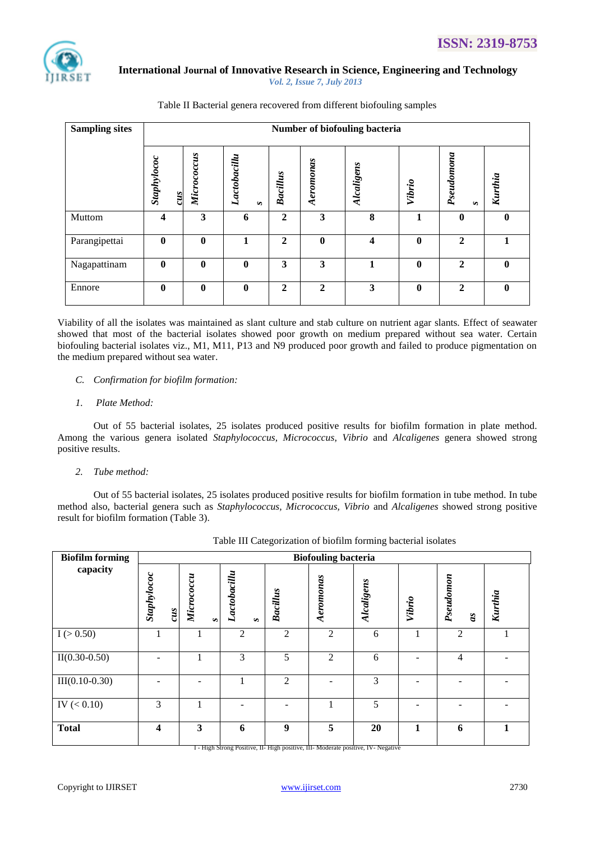

| <b>Sampling sites</b> | Number of biofouling bacteria |                  |                        |              |              |                         |             |                            |         |
|-----------------------|-------------------------------|------------------|------------------------|--------------|--------------|-------------------------|-------------|----------------------------|---------|
|                       | Staphylococ<br>$\frac{2}{3}$  | Micrococcus      | Lactobacillu<br>$\sim$ | Bacillus     | Aeromonas    | <b>Alcaligens</b>       | Vibrio      | Pseudomona<br>$\mathbf{S}$ | Kurthia |
| Muttom                | 4                             | 3                | 6                      | $\mathbf{2}$ | 3            | 8                       |             | $\mathbf{0}$               |         |
| Parangipettai         | $\mathbf{0}$                  | $\mathbf{0}$     |                        | $\mathbf{2}$ | $\mathbf{0}$ | $\overline{\mathbf{4}}$ | 0           | $\mathbf{2}$               |         |
| Nagapattinam          | $\mathbf{0}$                  | $\mathbf{0}$     | 0                      | 3            | 3            |                         | $\mathbf 0$ | $\mathbf{2}$               |         |
| Ennore                | $\mathbf{0}$                  | $\boldsymbol{0}$ | $\mathbf{0}$           | $\mathbf{2}$ | $\mathbf{2}$ | 3                       | 0           | $\mathbf{2}$               | 0       |

Table II Bacterial genera recovered from different biofouling samples

Viability of all the isolates was maintained as slant culture and stab culture on nutrient agar slants. Effect of seawater showed that most of the bacterial isolates showed poor growth on medium prepared without sea water. Certain biofouling bacterial isolates viz., M1, M11, P13 and N9 produced poor growth and failed to produce pigmentation on the medium prepared without sea water.

#### *C. Confirmation for biofilm formation:*

#### *1. Plate Method:*

Out of 55 bacterial isolates, 25 isolates produced positive results for biofilm formation in plate method. Among the various genera isolated *Staphylococcus, Micrococcus*, *Vibrio* and *Alcaligenes* genera showed strong positive results.

#### *2. Tube method:*

Out of 55 bacterial isolates, 25 isolates produced positive results for biofilm formation in tube method. In tube method also, bacterial genera such as *Staphylococcus, Micrococcus, Vibrio* and *Alcaligenes* showed strong positive result for biofilm formation (Table 3).

| <b>Biofilm forming</b> | <b>Biofouling bacteria</b>                                  |                      |                        |                 |                |                                                                                         |        |                               |         |  |
|------------------------|-------------------------------------------------------------|----------------------|------------------------|-----------------|----------------|-----------------------------------------------------------------------------------------|--------|-------------------------------|---------|--|
| capacity               | Staphylococ<br>$\boldsymbol{c}\boldsymbol{u}\boldsymbol{s}$ | Micrococcu<br>$\sim$ | Lactobacillu<br>$\sim$ | <b>Bacillus</b> | Aeromonas      | <b>Alcaligens</b>                                                                       | Vibrio | Pseudomon<br>$\boldsymbol{a}$ | Kurthia |  |
| I (> 0.50)             |                                                             |                      | 2                      | $\overline{2}$  | 2              | 6                                                                                       |        | 2                             |         |  |
| $II(0.30-0.50)$        |                                                             |                      | 3                      | 5               | $\mathfrak{D}$ | 6                                                                                       |        | $\overline{4}$                |         |  |
| $III(0.10-0.30)$       |                                                             |                      |                        | $\overline{2}$  |                | 3                                                                                       |        |                               |         |  |
| IV $(< 0.10)$          | 3                                                           |                      |                        |                 |                | 5                                                                                       |        |                               |         |  |
| <b>Total</b>           | $\boldsymbol{4}$                                            | 3                    | 6                      | 9               | 5              | 20<br>1 - High Strong Positive, II- High positive, III- Moderate positive, IV- Negative | 1      | 6                             |         |  |

|  | Table III Categorization of biofilm forming bacterial isolates |  |  |
|--|----------------------------------------------------------------|--|--|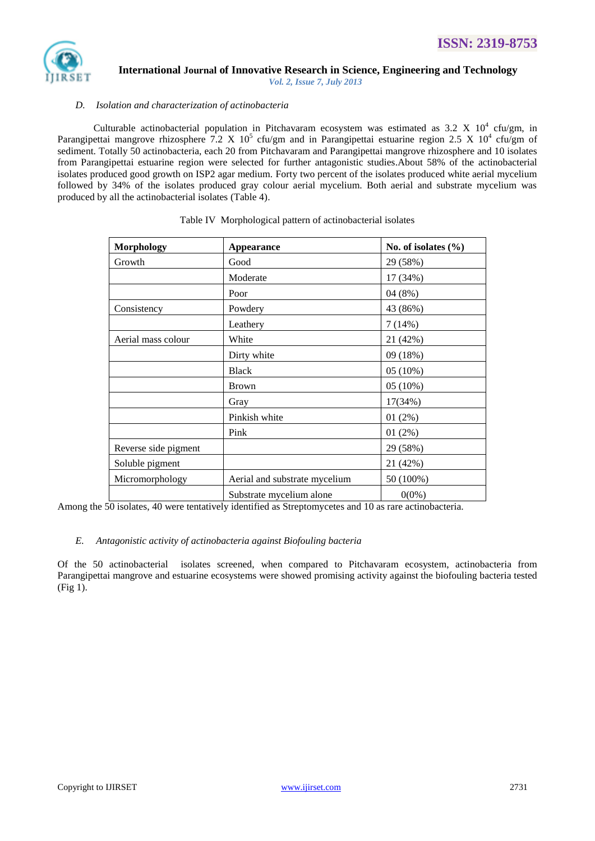

#### *D. Isolation and characterization of actinobacteria*

Culturable actinobacterial population in Pitchavaram ecosystem was estimated as 3.2 X  $10^4$  cfu/gm, in Parangipettai mangrove rhizosphere 7.2 X  $10^5$  cfu/gm and in Parangipettai estuarine region 2.5 X  $10^4$  cfu/gm of sediment. Totally 50 actinobacteria, each 20 from Pitchavaram and Parangipettai mangrove rhizosphere and 10 isolates from Parangipettai estuarine region were selected for further antagonistic studies.About 58% of the actinobacterial isolates produced good growth on ISP2 agar medium. Forty two percent of the isolates produced white aerial mycelium followed by 34% of the isolates produced gray colour aerial mycelium. Both aerial and substrate mycelium was produced by all the actinobacterial isolates (Table 4).

| <b>Morphology</b>    | <b>Appearance</b>             | No. of isolates $(\%$ |
|----------------------|-------------------------------|-----------------------|
| Growth               | Good                          | 29 (58%)              |
|                      | Moderate                      | 17 (34%)              |
|                      | Poor                          | 04(8%)                |
| Consistency          | Powdery                       | 43 (86%)              |
|                      | Leathery                      | 7(14%)                |
| Aerial mass colour   | White                         | 21 (42%)              |
|                      | Dirty white                   | 09 (18%)              |
|                      | <b>Black</b>                  | 05 (10%)              |
|                      | <b>Brown</b>                  | 05 (10%)              |
|                      | Gray                          | 17(34%)               |
|                      | Pinkish white                 | 01(2%)                |
|                      | Pink                          | 01(2%)                |
| Reverse side pigment |                               | 29 (58%)              |
| Soluble pigment      |                               | 21 (42%)              |
| Micromorphology      | Aerial and substrate mycelium | 50 (100%)             |
|                      | Substrate mycelium alone      | $0(0\%)$              |

#### Table IV Morphological pattern of actinobacterial isolates

Among the 50 isolates, 40 were tentatively identified as Streptomycetes and 10 as rare actinobacteria.

#### *E. Antagonistic activity of actinobacteria against Biofouling bacteria*

Of the 50 actinobacterial isolates screened, when compared to Pitchavaram ecosystem, actinobacteria from Parangipettai mangrove and estuarine ecosystems were showed promising activity against the biofouling bacteria tested (Fig 1).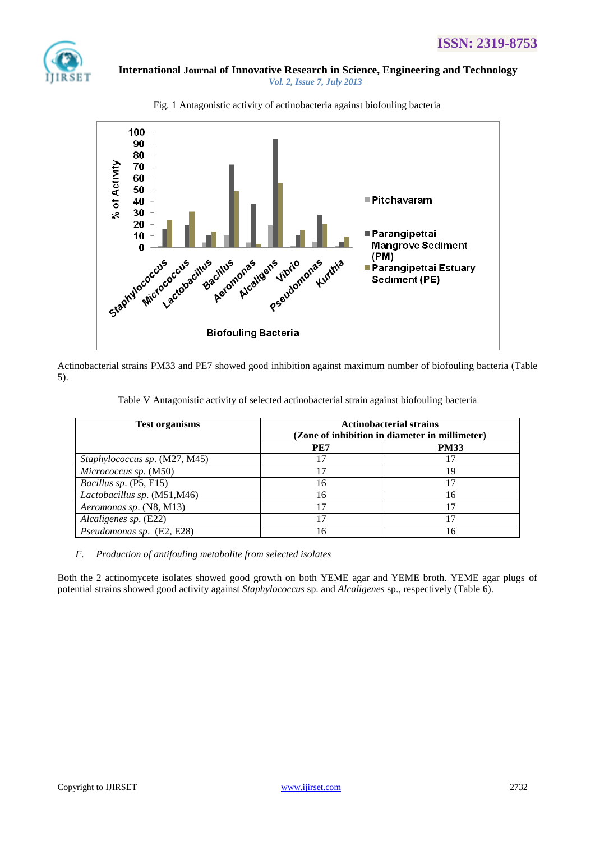



Fig. 1 Antagonistic activity of actinobacteria against biofouling bacteria

Actinobacterial strains PM33 and PE7 showed good inhibition against maximum number of biofouling bacteria (Table 5).

Table V Antagonistic activity of selected actinobacterial strain against biofouling bacteria

| <b>Test organisms</b>         | <b>Actinobacterial strains</b>                 |             |  |  |  |
|-------------------------------|------------------------------------------------|-------------|--|--|--|
|                               | (Zone of inhibition in diameter in millimeter) |             |  |  |  |
|                               | PE7                                            | <b>PM33</b> |  |  |  |
| Staphylococcus sp. (M27, M45) |                                                |             |  |  |  |
| Micrococcus sp. (M50)         | 17                                             | 19          |  |  |  |
| Bacillus sp. (P5, E15)        | 16                                             |             |  |  |  |
| Lactobacillus sp. (M51,M46)   | 16                                             | 16          |  |  |  |
| Aeromonas sp. (N8, M13)       | 17                                             |             |  |  |  |
| Alcaligenes sp. (E22)         | 17                                             |             |  |  |  |
| Pseudomonas sp. (E2, E28)     | 16                                             | 16          |  |  |  |

*F. Production of antifouling metabolite from selected isolates*

Both the 2 actinomycete isolates showed good growth on both YEME agar and YEME broth. YEME agar plugs of potential strains showed good activity against *Staphylococcus* sp. and *Alcaligenes* sp., respectively (Table 6).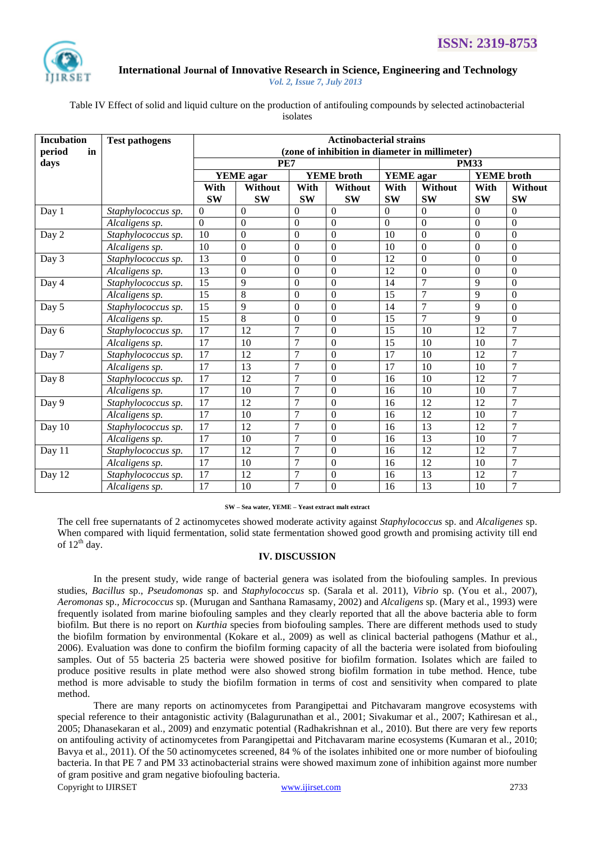

Table IV Effect of solid and liquid culture on the production of antifouling compounds by selected actinobacterial isolates

| <b>Incubation</b> | <b>Test pathogens</b> | <b>Actinobacterial strains</b>                 |                  |                  |                   |                |                 |                   |                |
|-------------------|-----------------------|------------------------------------------------|------------------|------------------|-------------------|----------------|-----------------|-------------------|----------------|
| period<br>in      |                       | (zone of inhibition in diameter in millimeter) |                  |                  |                   |                |                 |                   |                |
| days              |                       |                                                | PE7              |                  |                   | <b>PM33</b>    |                 |                   |                |
|                   |                       |                                                | <b>YEME</b> agar |                  | <b>YEME</b> broth | YEME agar      |                 | <b>YEME</b> broth |                |
|                   |                       | With                                           | Without          | With             | Without           | With           | Without         | With              | Without        |
|                   |                       | <b>SW</b>                                      | <b>SW</b>        | <b>SW</b>        | <b>SW</b>         | <b>SW</b>      | <b>SW</b>       | <b>SW</b>         | <b>SW</b>      |
| Day 1             | Staphylococcus sp.    | $\theta$                                       | $\Omega$         | $\theta$         | $\theta$          | $\theta$       | $\Omega$        | $\Omega$          | $\theta$       |
|                   | Alcaligens sp.        | $\Omega$                                       | $\Omega$         | $\Omega$         | $\mathbf{0}$      | $\overline{0}$ | $\Omega$        | $\Omega$          | $\overline{0}$ |
| Day 2             | Staphylococcus sp.    | 10                                             | $\Omega$         | $\theta$         | $\overline{0}$    | 10             | $\Omega$        | $\Omega$          | $\overline{0}$ |
|                   | Alcaligens sp.        | 10                                             | $\Omega$         | $\theta$         | $\mathbf{0}$      | 10             | $\overline{0}$  | $\Omega$          | $\overline{0}$ |
| Day 3             | Staphylococcus sp.    | 13                                             | $\Omega$         | $\theta$         | $\mathbf{0}$      | 12             | $\Omega$        | $\Omega$          | $\Omega$       |
|                   | Alcaligens sp.        | 13                                             | $\Omega$         | $\theta$         | $\mathbf{0}$      | 12             | $\Omega$        | $\Omega$          | $\overline{0}$ |
| Day 4             | Staphylococcus sp.    | 15                                             | 9                | $\boldsymbol{0}$ | $\boldsymbol{0}$  | 14             | $\overline{7}$  | 9                 | $\overline{0}$ |
|                   | Alcaligens sp.        | 15                                             | 8                | $\theta$         | $\theta$          | 15             | $\overline{7}$  | 9                 | $\overline{0}$ |
| Day 5             | Staphylococcus sp.    | 15                                             | 9                | $\boldsymbol{0}$ | $\boldsymbol{0}$  | 14             | $\overline{7}$  | 9                 | $\overline{0}$ |
|                   | Alcaligens sp.        | 15                                             | $\overline{8}$   | $\theta$         | $\mathbf{0}$      | 15             | $\overline{7}$  | 9                 | $\overline{0}$ |
| Day 6             | Staphylococcus sp.    | 17                                             | 12               | $\overline{7}$   | $\boldsymbol{0}$  | 15             | 10              | 12                | $\overline{7}$ |
|                   | Alcaligens sp.        | $\overline{17}$                                | 10               | 7                | $\boldsymbol{0}$  | 15             | 10              | 10                | $\overline{7}$ |
| Day 7             | Staphylococcus sp.    | $\overline{17}$                                | 12               | $\overline{7}$   | $\boldsymbol{0}$  | 17             | 10              | 12                | $\overline{7}$ |
|                   | Alcaligens sp.        | $\overline{17}$                                | $\overline{13}$  | $\overline{7}$   | $\mathbf{0}$      | 17             | 10              | 10                | 7              |
| Day 8             | Staphylococcus sp.    | 17                                             | 12               | $\overline{7}$   | $\boldsymbol{0}$  | 16             | 10              | 12                | $\overline{7}$ |
|                   | Alcaligens sp.        | 17                                             | $\overline{10}$  | $\overline{7}$   | $\mathbf{0}$      | 16             | 10              | 10                | $\overline{7}$ |
| Day 9             | Staphylococcus sp.    | $\overline{17}$                                | 12               | $\overline{7}$   | $\boldsymbol{0}$  | 16             | $\overline{12}$ | $\overline{12}$   | $\overline{7}$ |
|                   | Alcaligens sp.        | $\overline{17}$                                | 10               | $\overline{7}$   | $\mathbf{0}$      | 16             | $\overline{12}$ | 10                | 7              |
| Day 10            | Staphylococcus sp.    | $\overline{17}$                                | 12               | $\overline{7}$   | $\boldsymbol{0}$  | 16             | $\overline{13}$ | 12                | $\overline{7}$ |
|                   | Alcaligens sp.        | $\overline{17}$                                | $\overline{10}$  | $\overline{7}$   | $\mathbf{0}$      | 16             | $\overline{13}$ | 10                | $\overline{7}$ |
| Day 11            | Staphylococcus sp.    | 17                                             | 12               | $\overline{7}$   | $\boldsymbol{0}$  | 16             | 12              | 12                | $\overline{7}$ |
|                   | Alcaligens sp.        | 17                                             | 10               | $\overline{7}$   | $\boldsymbol{0}$  | 16             | 12              | 10                | $\overline{7}$ |
| Day 12            | Staphylococcus sp.    | 17                                             | 12               | $\overline{7}$   | $\boldsymbol{0}$  | 16             | $\overline{13}$ | 12                | $\overline{7}$ |
|                   | Alcaligens sp.        | $\overline{17}$                                | $\overline{10}$  | $\overline{7}$   | $\overline{0}$    | 16             | $\overline{13}$ | 10                | $\overline{7}$ |

#### **SW – Sea water, YEME – Yeast extract malt extract**

The cell free supernatants of 2 actinomycetes showed moderate activity against *Staphylococcus* sp. and *Alcaligenes* sp. When compared with liquid fermentation, solid state fermentation showed good growth and promising activity till end of  $12^{th}$  day.

#### **IV. DISCUSSION**

In the present study, wide range of bacterial genera was isolated from the biofouling samples. In previous studies, *Bacillus* sp., *Pseudomonas* sp. and *Staphylococcus* sp. (Sarala et al. 2011), *Vibrio* sp. (You et al., 2007), *Aeromonas* sp.*, Micrococcus* sp. (Murugan and Santhana Ramasamy, 2002) and *Alcaligens* sp. (Mary et al., 1993) were frequently isolated from marine biofouling samples and they clearly reported that all the above bacteria able to form biofilm. But there is no report on *Kurthia* species from biofouling samples. There are different methods used to study the biofilm formation by environmental (Kokare et al., 2009) as well as clinical bacterial pathogens (Mathur et al., 2006). Evaluation was done to confirm the biofilm forming capacity of all the bacteria were isolated from biofouling samples. Out of 55 bacteria 25 bacteria were showed positive for biofilm formation. Isolates which are failed to produce positive results in plate method were also showed strong biofilm formation in tube method. Hence, tube method is more advisable to study the biofilm formation in terms of cost and sensitivity when compared to plate method.

Copyright to IJIRSET [www.ijirset.com](http://www.ijirset.com/) 2733 There are many reports on actinomycetes from Parangipettai and Pitchavaram mangrove ecosystems with special reference to their antagonistic activity (Balagurunathan et al., 2001; Sivakumar et al., 2007; Kathiresan et al., 2005; Dhanasekaran et al., 2009) and enzymatic potential (Radhakrishnan et al., 2010). But there are very few reports on antifouling activity of actinomycetes from Parangipettai and Pitchavaram marine ecosystems (Kumaran et al., 2010; Bavya et al., 2011). Of the 50 actinomycetes screened, 84 % of the isolates inhibited one or more number of biofouling bacteria. In that PE 7 and PM 33 actinobacterial strains were showed maximum zone of inhibition against more number of gram positive and gram negative biofouling bacteria.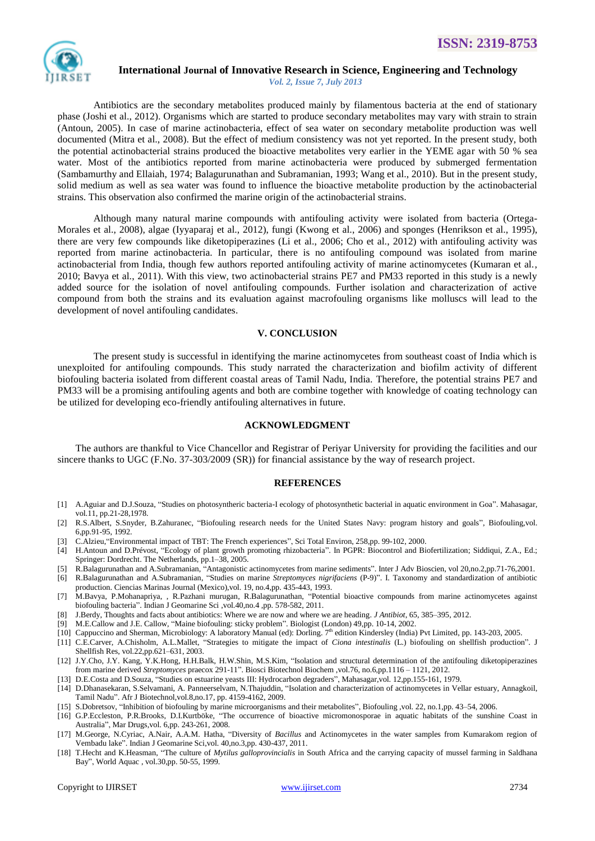

## **International Journal of Innovative Research in Science, Engineering and Technology**

 *Vol. 2, Issue 7, July 2013*

Antibiotics are the secondary metabolites produced mainly by filamentous bacteria at the end of stationary phase (Joshi et al., 2012). Organisms which are started to produce secondary metabolites may vary with strain to strain (Antoun, 2005). In case of marine actinobacteria, effect of sea water on secondary metabolite production was well documented [\(Mitra](http://www.ncbi.nlm.nih.gov/pubmed?term=Mitra%20A%5BAuthor%5D&cauthor=true&cauthor_uid=18679673) et al., 2008). But the effect of medium consistency was not yet reported. In the present study, both the potential actinobacterial strains produced the bioactive metabolites very earlier in the YEME agar with 50 % sea water. Most of the antibiotics reported from marine actinobacteria were produced by submerged fermentation (Sambamurthy and Ellaiah, 1974; Balagurunathan and Subramanian, 1993; Wang et al., 2010). But in the present study, solid medium as well as sea water was found to influence the bioactive metabolite production by the actinobacterial strains. This observation also confirmed the marine origin of the actinobacterial strains.

Although many natural marine compounds with antifouling activity were isolated from bacteria (Ortega-Morales et al., 2008), algae (Iyyaparaj et al., 2012), fungi (Kwong et al., 2006) and sponges (Henrikson et al., 1995), there are very few compounds like diketopiperazines (Li et al., 2006; Cho et al., 2012) with antifouling activity was reported from marine actinobacteria. In particular, there is no antifouling compound was isolated from marine actinobacterial from India, though few authors reported antifouling activity of marine actinomycetes (Kumaran et al., 2010; Bavya et al., 2011). With this view, two actinobacterial strains PE7 and PM33 reported in this study is a newly added source for the isolation of novel antifouling compounds. Further isolation and characterization of active compound from both the strains and its evaluation against macrofouling organisms like molluscs will lead to the development of novel antifouling candidates.

#### **V. CONCLUSION**

The present study is successful in identifying the marine actinomycetes from southeast coast of India which is unexploited for antifouling compounds. This study narrated the characterization and biofilm activity of different biofouling bacteria isolated from different coastal areas of Tamil Nadu, India. Therefore, the potential strains PE7 and PM33 will be a promising antifouling agents and both are combine together with knowledge of coating technology can be utilized for developing eco-friendly antifouling alternatives in future.

#### **ACKNOWLEDGMENT**

The authors are thankful to Vice Chancellor and Registrar of Periyar University for providing the facilities and our sincere thanks to UGC (F.No. 37-303/2009 (SR)) for financial assistance by the way of research project.

#### **REFERENCES**

- [1] A.Aguiar and D.J.Souza, "Studies on photosyntheric bacteria-I ecology of photosynthetic bacterial in aquatic environment in Goa". Mahasagar, vol.11, pp.21-28,1978.
- [2] R.S.Albert, S.Snyder, B.Zahuranec, "Biofouling research needs for the United States Navy: program history and goals", Biofouling,vol. 6,pp.91-95, 1992.
- [3] C.Alzieu,"Environmental impact of TBT: The French experiences", Sci Total Environ, 258,pp. 99-102, 2000.
- [4] H.Antoun and D.Prévost, "Ecology of plant growth promoting rhizobacteria". In PGPR: Biocontrol and Biofertilization; Siddiqui, Z.A., Ed.; Springer: Dordrecht. The Netherlands, pp.1–38, 2005.
- [5] R.Balagurunathan and A.Subramanian, "Antagonistic actinomycetes from marine sediments". Inter J Adv Bioscien, vol 20,no.2,pp.71-76,2001.
- [6] R.Balagurunathan and A.Subramanian, "Studies on marine *Streptomyces nigrifaciens* (P-9)". I. Taxonomy and standardization of antibiotic production. Ciencias Marinas Journal (Mexico),vol. 19, no.4,pp. 435-443, 1993.
- [7] M.Bavya, P.Mohanapriya, , R.Pazhani murugan, R.Balagurunathan, "Potential bioactive compounds from marine actinomycetes against biofouling bacteria". Indian J Geomarine Sci ,vol.40,no.4 ,pp. 578-582, 2011.
- [8] J.Berdy, Thoughts and facts about antibiotics: Where we are now and where we are heading. *J Antibiot*, 65, 385–395, 2012.
- [9] M.E.Callow and J.E. Callow, "Maine biofouling: sticky problem". Biologist (London) 49,pp. 10-14, 2002.
- [10] Cappuccino and Sherman, Microbiology: A laboratory Manual (ed): Dorling. 7<sup>th</sup> edition Kindersley (India) Pvt Limited, pp. 143-203, 2005.
- [11] C.E.Carver, A.Chisholm, A.L.Mallet, "Strategies to mitigate the impact of *Ciona intestinalis* (L.) biofouling on shellfish production". J Shellfish Res, vol.22,pp.621–631, 2003.
- [12] J.Y.Cho, J.Y. Kang, Y.K.Hong, H.H.Balk, H.W.Shin, M.S.Kim, "Isolation and structural determination of the antifouling diketopiperazines from marine derived *Streptomyces* praecox 291-11". Biosci Biotechnol Biochem ,vol.76, no.6,pp.1116 – 1121, 2012.
- [13] D.E.Costa and D.Souza, "Studies on estuarine yeasts III: Hydrocarbon degraders", Mahasagar,vol. 12,pp.155-161, 1979.
- [14] D.Dhanasekaran, S.Selvamani, A. Panneerselvam, N.Thajuddin, "Isolation and characterization of actinomycetes in Vellar estuary, Annagkoil, Tamil Nadu". Afr J Biotechnol,vol.8,no.17, pp. 4159-4162, 2009.
- [15] S.Dobretsov, "Inhibition of biofouling by marine microorganisms and their metabolites", Biofouling ,vol. 22, no.1,pp. 43–54, 2006.
- [16] G.P.Eccleston, P.R.Brooks, D.I.Kurtböke, "The occurrence of bioactive micromonosporae in aquatic habitats of the sunshine Coast in Australia", Mar Drugs*,*vol. 6,pp. 243-261, 2008.
- [17] M.George, N.Cyriac, A.Nair, A.A.M. Hatha, "Diversity of *Bacillus* and Actinomycetes in the water samples from Kumarakom region of Vembadu lake". Indian J Geomarine Sci,vol. 40,no.3,pp. 430-437, 2011.
- [18] T.Hecht and K.Heasman, "The culture of *Mytilus galloprovincialis* in South Africa and the carrying capacity of mussel farming in Saldhana Bay", World Aquac , vol.30,pp. 50-55, 1999.